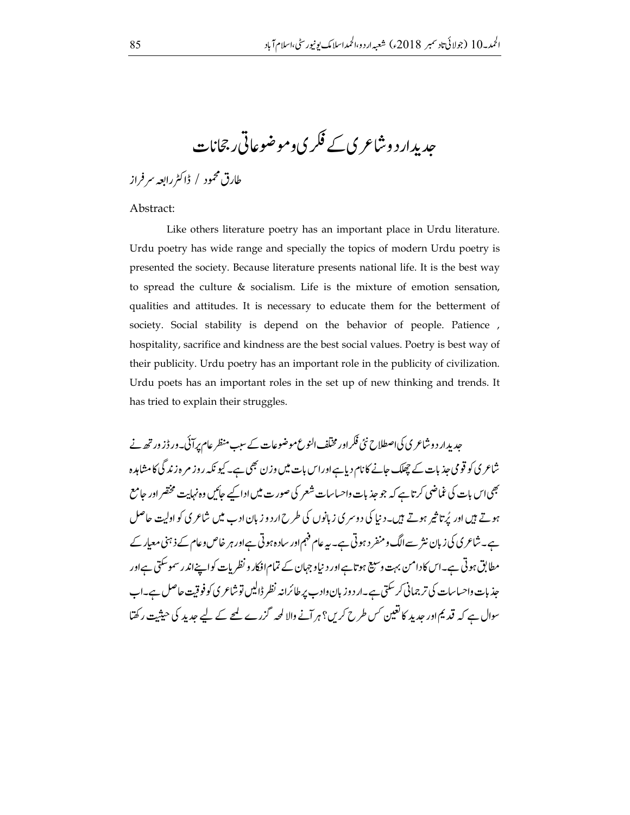حدیدار د وشاعری کے فکر ی وموضوعاتی رجحانات

طارق محمود / ڈاکٹررابعہ سر فراز

Abstract:

Like others literature poetry has an important place in Urdu literature. Urdu poetry has wide range and specially the topics of modern Urdu poetry is presented the society. Because literature presents national life. It is the best way to spread the culture  $\&$  socialism. Life is the mixture of emotion sensation, qualities and attitudes. It is necessary to educate them for the betterment of society. Social stability is depend on the behavior of people. Patience, hospitality, sacrifice and kindness are the best social values. Poetry is best way of their publicity. Urdu poetry has an important role in the publicity of civilization. Urdu poets has an important roles in the set up of new thinking and trends. It has tried to explain their struggles.

حدیدار د و شاعر ی کی اصطلاح نئی فکر اور مختلف النوع موضوعات کے سب منظر عام برآئی۔ ور ڈز ور تھ نے شاعر ی کو قومی جذبات کے چھلک جانے کا نام دیاہےاور اس بات میں وزن بھی ہے۔ کیو نکہ روز مرہ زند گی کامشاہدہ بھی اس بات کی غماضی کرتاہے کہ جو جذبات داحساسات شعر کی صورت میں ادا کیے جائیں وہ نہایت مختصر اور جامع ہوتے ہیں اور پُرتا ثیر ہوتے ہیں۔دنیا کی دوسر ی زبانوں کی طرح اردو زبان ادب میں شاعر کی کو اولیت حاصل ہے۔شاعری کی زبان نثر سےالگ و منفر د ہوتی ہے۔ یہ عام فہم اور ساد ہوتی ہےاور ہر خاص وعام کے ذہنی معیار کے مطابق ہوتی ہے۔اس کادامن بہت وسیع ہوتا ہےاور د نیاوجہان کے تمام افکار و نظریات کواپنےاندر سموسکتی ہےاور جذبات واحساسات کی تر جمانی کر سکتی ہے۔ار دوزبان واد ب پر طائرانہ نظر ڈالیں تو شاعر ی کو فوقیت حاصل ہے۔اب سوال ہے کہ قدیم اور جدید کا تعین <sup>کس</sup> طرح کری؟ ہر آنے والا لحہ گزرے کیے کے لیے جدید کی حیثیت رکھتا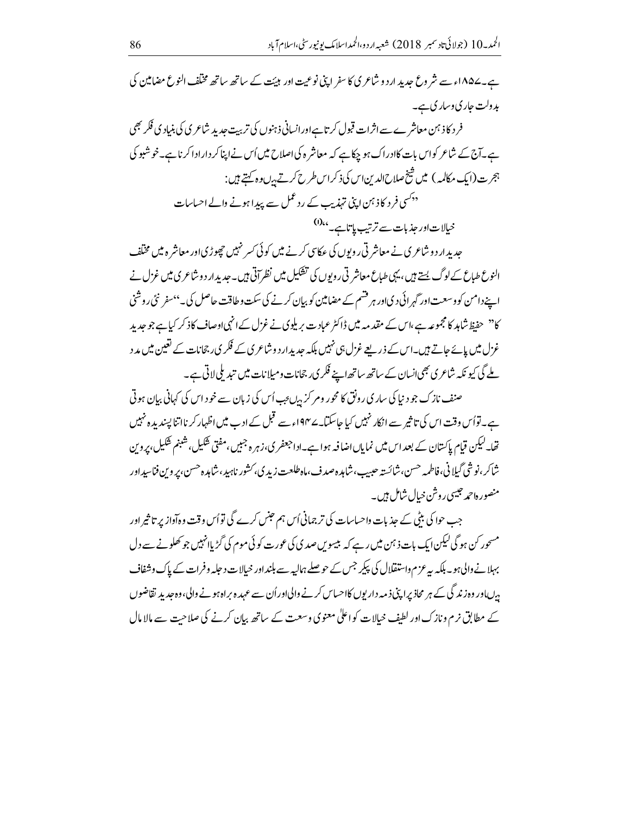ہے۔۱۸۵۷ء سے شر وع جدید ارد و شاعر کی کا سفر اپنی نوعیت اور ہیئت کے ساتھ ساتھ مخلف النوع مضامین کی ېډ دلت *جار* ي د سار ي ہے۔ فر د کاذ ہن معاشر ے سے اثرات قبول کرتا ہےاورانسانی ذہنوں کی تربیت جدید شاعری کی بنیادی فکر بھی ہے۔آج کے شاعر کواس بات کاادراک ہو چکاہے کہ معاشر ہ کی اصلاح میں اُس نے اپناکر دارادا کرناہے۔خوشبو کی ہجرت(ایک مکالمہ) میں شیخ صلاح <sub>ا</sub>لدین <sub>اس</sub> کی ذکر اس طرح کرتے ہ<sup>ی</sup>ں وہ کہتے ہیں : <sup>ددکس</sup>ی فرد کاذ <sup>ہ</sup>ن اپنی تہذیب کے رد عمل سے پیدا ہونے والے احساسات خیالات اور حذیات سے ترتیب ہا تاہے۔ <sup>6)</sup>

حدید ارد و شاعری نے معاشر تی روپوں کی عکاسی کرنے میں کوئی کسر نہیں چھوڑی اور معاشر ہ میں مخلف النوع طباع کے لوگ پستے ہیں، یہی طباع معاشر تی روپوں کی تشکیل میں نظر آتی ہیں۔جدید ار دوشاعری میں غزل نے اپنے دامن کو وسعت اور گہر ائی دیااور ہر قشم کے مضامین کو بیان کرنے کی سکت وطاقت حاصل کی۔''سفر نئی روشنی کا<sup>دد</sup> حفیظ شاہد کا مجموعہ ہے،اس کے مقد مہ میں ڈاکٹر عباد ت بریلوی نے غزل کے انہی اوصاف کاذ کر کیا ہے جو جدید غزل میں پائے جاتے ہیں۔اس کے ذریعے غزل ہی نہیں بلکہ حدیدِ ارد وشاعر ی کے فکر ی، جحانات کے نغین میں مد د ملے گی کیو نکہ شاعری بھی انسان کے ساتھ ساتھ اپنے فکر یں جحانات ومیلانات میں تید ملی لاتی ہے۔

صنف نازک جو د نیا کی ساری رونق کا محور ومر کر بہ بءب اُس کی زبان سے خود اس کی کہانی بیان ہوتی ہے۔توأس وقت اس کی تاثیر سے انکار نہیں کیا جاسکتا۔ے ۱۹۴؍سے قبل کے ادب میں اظہار کر نااتنا پسندیدہ نہیں تھا۔لیکن قیام پاکستان کے بعد اس میں نمایاںاضافیہ ہوا ہے۔اداجعفر ی،زہر ہ جبیں،مفتی شکیل،شبنم شکیل،پروین شاكر ،نوشي گېلانې،فاطمه حسن،شائسته حبيب،شامده صدف،ماه طلعت زيد ي، *کشور* ناہيد،شامده حسن،بروين فناسيداور منصوره احمد جيسي روشن خيال شامل ہيں۔

جب حوا کی بٹی کے حذیات واحساسات کی تر جمانی اُس ہم حبنس کرے گی تواُس وقت وہآواز پر تا ثیر اور مسحور کن ہو گی لیکن ایک بات ذ ہن میں رہے کہ بیسوس صدی کی عورت کوئی موم کی گڑ پاانہیں جو کھلونے سے دل بہلانے والی ہو۔ بلکہ یہ عزم واستقلال کی پکیر جس کے حوصلے ہمالیہ سے بلنداور خیالات د جلہ وفرات کے پاک وشفاف بیں اور وہ زند گی کے ہر محاذ پراپنی ذ مہ دار یوں کااحساس کرنے والی اور اُن سے عہد ہ براہ ہونے والی،وہ جدید تقاضوں کے مطابق نرم ونازک اور لطیف خیالات کو اعلیٰ معنوی وسعت کے ساتھ بیان کرنے کی صلاحت سے مالا مال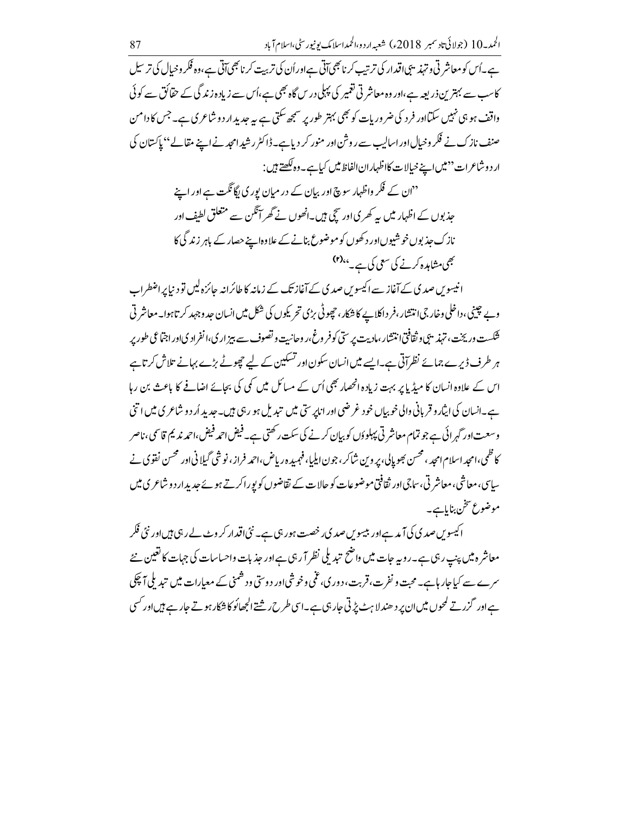ہے۔اُس کو معاشر ٹی و تہذیبی اقدار کی ترتیب کرنا بھی آتی ہےاوراُن کی تربیت کرنا بھی آتی ہے،وہ فکر و خیال کی تر سیل کاسب سے بہتر ین ذریعہ ہے،اور وہ معاشر تی تعمیر کی پہلی درس گاہ بھی ہے،اُس سے زیادہ زند گی کے حقائق سے کوئی واقف ہو ہی نہیں سکتااور فر د کی ضروریات کو بھی بہتر طور پر سمجھ سکتی ہے یہ جدید ار د وشاعری ہے۔ جس کا دامن صنف نازک نے فکر وخیال اور اسالیب سے روشن اور منور کر دیاہے۔ڈاکٹر رشید امجد نے اپنے مقالے'' پاکستان کی ار د وشاعرات ''میں اپنے خیالات کااظہاران الفاظ میں کیاہے۔ وہ لکھتے ہیں :

<sup>دد</sup>ان کے فکر واظہار سوچ اور بیان کے در میان بور کی ایگانگت ہے اور اپنے جذبوں کے اظہار میں پہ کھر کی اور سچی ہیں۔انھوں نے گھر آنگن سے متعلق لطیف اور نازک حذبوں خوشیوںاور د کھوں کو موضوع بنانے کے علاوہا بنے حصار کے باہر زند گی کا بھی مشاہدہ کرنے کی سعی کی ہے۔'<sup>r)</sup>

انیسوس صدی کے آغاز سے اکیسوس صدی کے آغاز تک کے زمانیہ کا طائرانیہ جائزہ لیں تو دینا پر اضطراب وپے چینی، داخلی وخارجی انتشار ، فر داکلاپے کا شکار ، چھوٹی بڑی تحریکوں کی شکل میں انسان جد وجہد کر تاہوا۔ معاشر تی شکست وریخت، تہذیبی وثقافتی انتشار،مادیت پرستی کوفر وغ،ر وحانیت وتصوف سے بیز ار ی،انفراد کی اور اجتماعی طور پر ہر طرف ڈیرے جمائے نظر آتی ہے۔ایسے میں انسان سکون اور تسکین کے لیے چچوٹے بڑے بہانے تلاش کر تاہے اس کے علاوہ انسان کا میڈیا پر بہت زیادہ انھھار بھی اُس کے مسائل میں کمی کی بجائے اضافے کا باعث بن رہا ہے۔انسان کی ایثار وقریانی والی خوبیاں خود غرضی اور انابر ستی میں تبدیل ہو رہی ہیں۔جدید اُر د و شاعری میں اتنی وسعت اور گہر ائی ہے جو تمام معاشر تی پہلوؤں کو بیان کرنے کی سکت رکھتی ہے۔ فیض احمد فیض،احمد ندیم قاسمی،ناصر کا ظمی،امجد اسلام امجد ، محسن بھوپالی، پر وین شاکر ، جون ایلیا، فہمیدہ ریاض،احمہ فراز ، نو شی گیلانی اور محسن نفوي نے ساسی، معاشی، معاشر تی، ساجیاور ثقافتی موضوعات کو حالات کے تقاضوں کو پورا کرتے ہوئے حدیدار د و شاعری میں موضوع تتخن بناياہے۔

ا کیسویں صدی کی آ مدہے اور بیسویں صدی رخصت ہورہی ہے۔ نئی اقدار کر وٹ لے رہی ہیں اور نئی فکر معاشر ہ میں پنپ رہی ہے۔روپہ جات میں واضح تبدیلی نظر آ رہی ہے اور جذبات واحساسات کی جہات کا تعیین نئے سرے سے کیا جار ہاہے۔ محبت و نفرت، قربت، د ور پی، عمٰی وخو شی اور د وستی و د شمنی کے معیارات میں تیدیلی آ چکی ہےاور گزرتے کمحوں میں ان پر د ھند لا ہٹ پڑتی جار ہی ہے۔اسی طرح ریشتے الجھائو کا شکار ہوتے جار ہے ہیں اور کسی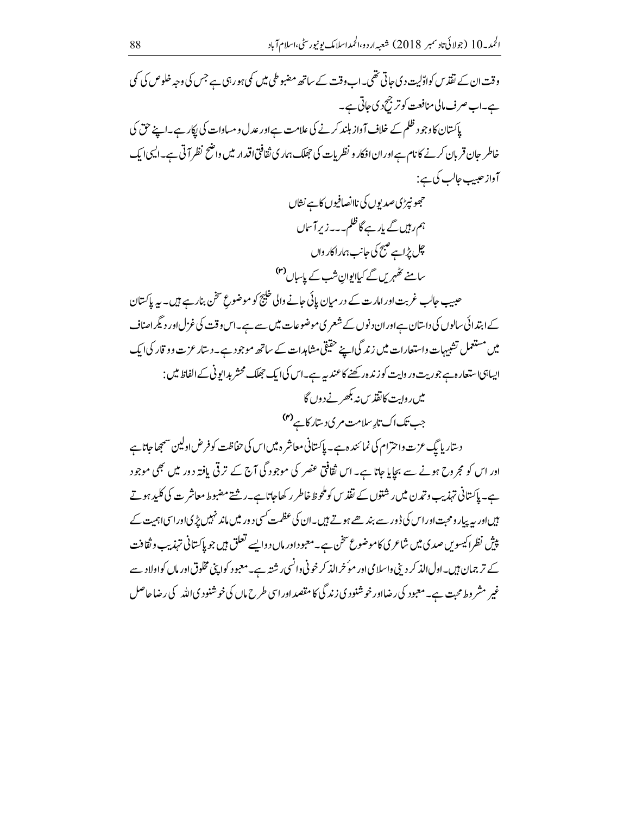وقت ان کے نقذ س کواڈلیت دی جاتی تھی۔اب وقت کے ساتھ مضبوطی میں کی ہور ہی ہے جس کی وجہ خلوص کی کمی ہے۔اب صرف مالی منافعت کو ترجیح دی جاتی ہے۔ پاکستان کاوجود ظلم کے خلاف آواز بلند کرنے کی علامت ہےاور عدل و مساوات کی ایکار ہے۔اپنے حق کی خاطر حان قربان کرنے کا نام ہےاوران افکار و نظریات کی جھلک ہمار کی ثقافتی اقدار میں واضح نظر آتی ہے۔ایسی ایک آواز حبیب حالب کی ہے : حجھونپڑی صدیوں کی ناانصافیوں کاہے نشاں ہم رہیں گے پارے گاظلم۔۔۔زیر آساں چل پڑاہے صبح کی جانب ہماراکار واں سامنے تٹ*ھہریں گے کی*لایوان شب کے پاساں <sup>(۳)</sup> حبیب حالب غربت اور امار ت کے در میان پائی حانے والی خلیج کو موضوع سخن بنار ہے ہیں۔ یہ پاکستان کے ابتدائی سالوں کی داستان ہےاوران دنوں کے شعر ی موضوعات میں سے ہے۔اس وقت کی غزل اور دیگرامناف میں مستعمل تشبیہات واستعارات میں زند گی اپنے حقیقی مشاہدات کے ساتھ موجود ہے۔دستار عزت وو قار کی ایک اپیاہی استعارہ ہے جوریت ور واپت کوزندہ رکھنے کاعند یہ ہے۔اس کیا یک جھلک محشر بدابونی کے الفاظ میں : میں روایت کانقذیں نہ بکھر نے دوں گا جب تک اک تارسلامت مر ی دستار کا ہے <sup>(۴)</sup> دستار پایگ عزت واحترام کی نمائندہ ہے۔ پاکستانی معاشر ہ میں اس کی حفاظت کو فرض اولین سمجھاجاتاہے اور اس کو مجر وح ہونے سے بچایا جاتا ہے۔ اس ثقافتی عنصر کی موجود گی آج کے ترقی یافتہ دور میں بھی موجود ہے۔ پاکستانی تہذیب و تمدن میں رشتوں کے نقذ س کو ملحوظ خاطر رکھاجاتاہے۔رشتے مضبوط معاشر ت کی کلید ہو تے ہیںاور یہ پہار ومحبت اوراس کی ڈور سے بندھے ہوتے ہیں۔ان کی عظمت <sup>کس</sup>ی دور میں ماند نہیں پڑی اوراسی اہمیت کے پیش نظراکیسویں صدی میں شاعری کاموضوع سخن ہے۔معبود اور ماں دوایسے تعلق ہیں جو پاکستانی تہذیب و ثقافت کے تر جمان ہیں۔اول الذ کر دینی واسلامی اور موُخرالذ کرخونی وانسی رشتہ ہے۔معبود کواپنی مخلوق اور ماں کواولاد سے غیر مشر وط محبت ہے۔معبود کی رضااور خوشنود ی زند گی کا مقصد اور اسی طرح ماں کی خوشنود ی اللہ کی رضاحاصل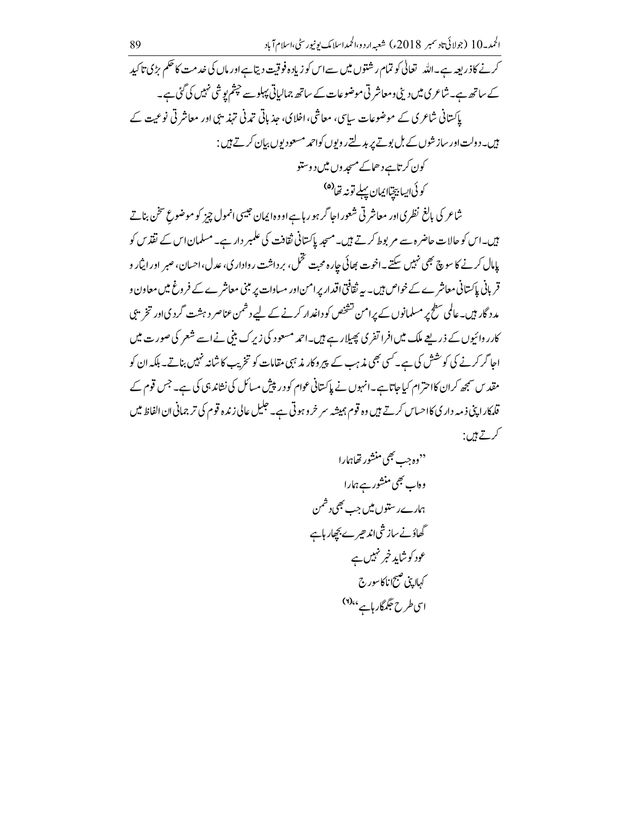کرنے کاذریعہ ہے۔اللہ تعالٰی کو تمام رشتوں میں سےاس کو زیادہ فوقیت دیتا ہےاور ماں کی خدمت کا حکم بڑی تا کید کے ساتھ ہے۔شاعری میں دینی ومعاشر تی موضوعات کے ساتھ جمالیاتی پہلوسے حپثم یوشی نہیں کی گئی ہے۔ پاکستانی شاعری کے موضوعات سایپی، معاشی، اخلای، جذباتی تمدنی تہذیبی اور معاشر تی نوعیت کے ہیں۔دولت اور سازشوں کے بل بوتے پر بدلتے روپوں کواحمد مسعود یوں بہان کرتے ہیں : کون کرتاہے دھاکے مسجد وں میں د وستو

كوئي <sub>الس</sub>ابيتيا<sub>ل</sub>يمان پہلے تونہ تھا<sup>(ھ)</sup>

شاعر کی بالغ نظر کی اور معاشر ٹی شعور اجا گر ہو رہاہے او وہ ایمان جیسی انمول چیز کو موضوعِ سخن بناتے بیں۔اس کو حالات حاضرہ سے مربوط کرتے ہیں۔مسجد پاکستانی ثقافت کی علمبر دار ہے۔مسلمان اس کے نقذ س کو پامال کرنے کا سوچ بھی نہیں سکتے۔اخوت بھائی جارہ محبت تخمل، بر داشت ر وادار ی، عدل،احسان، صبر اور ایثار و قربانی پاکستانی معاشر ے کے خواص ہیں۔ یہ ثقافتی اقدار پرامن اور مساوات پر مبنی معاشر ے کے فروغ میں معاون و مد د گار ہیں۔عالمی سطح پر مسلمانوں کے پرامن تشخص کو داغدار کرنے کے لیے دشمن عناصر دہشت گرد ی اور تخریبی کارر وائیوں کے ذریعے ملک میں افرا تفری پھیلا رہے ہیں۔احمہ مسعود کی زیرک بنی نے اسے شعر کی صورت میں احا گر کرنے کی کوشش کی ہے۔کسی بھی مذہب کے پیر وکار مذہبی مقامات کو تخریب کا شانہ نہیں بناتے۔ بلکہ ان کو مقد س سمجھ کر ان کااحترام کیاجاتا ہے۔انہوں نے پاکستانی عوام کو در پیش مسائل کی نشاند ہی کی ہے۔ جس قوم کے قلمکار اپنی ذ مہ دار کی کااحساس کرتے ہیں وہ قوم ہمیشہ سر خرو ہوتی ہے۔ جلیل عالی زندہ قوم کی تر جمانی ان الفاظ میں کرتے ہیں: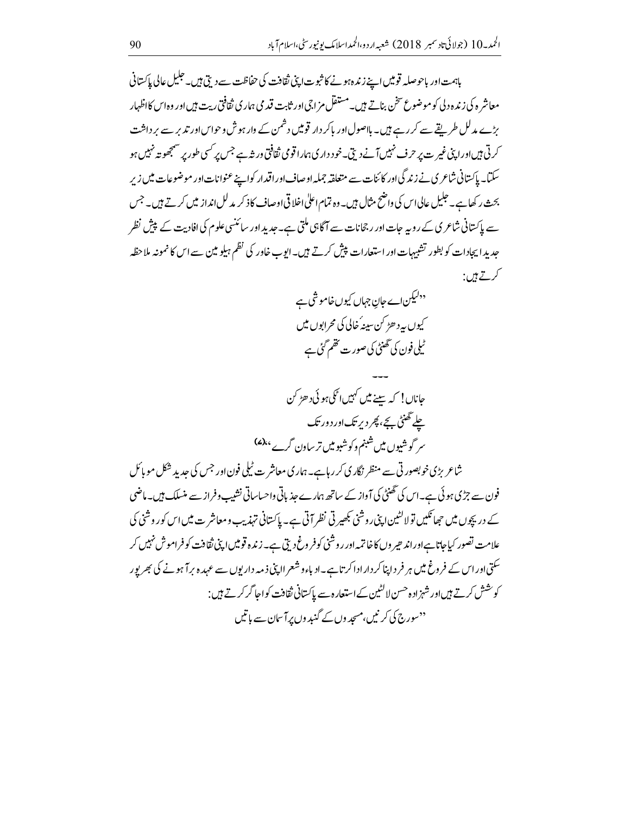باہمت اور باحوصلہ قومیں اپنے زندہ ہونے کا ثبوت اپنی ثقافت کی حفاظت سے دیتی ہیں۔ جلیل عالی پاکستانی معاشر ه کی زنده دلی کوموضوع سخن بناتے ہیں۔مستقل مز اجی اور ثابت قید می ہمار کی ثقافتی ریت ہیں اور وہ اس کااظہار بڑے مدلل طریقے سے کر رہے ہیں۔ ہلاصول اور پاکر دار قومیں دشمن کے وار ہوش وحواس اور تدبر سے بر داشت ۔<br>کرتی ہیں اوراپنی غیر ت پر حرف نہیں آنے دیتی۔خود داری ہمارا قومی ثقافتی ورش*ہے جس پر*کسی طور پر سمجھو تہ نہیں ہو ۔<br>سکتا۔ پاکستانی شاعر کی نے زند گی اور کائنات سے متعلقہ جملہ اوصاف اور اقدار کواپنے عنوانات اور موضوعات میں زیرِ بحث رکھاہے۔ جلیل عالی اس کی واضح مثال ہیں۔وہ تمام اعلیٰ اخلاقی اوصاف کاذ کر مدلل انداز میں کرتے ہیں۔جس سے پاکستانی شاعری کے روپہ جات اور رجحانات سے آگاہی ملتی ہے۔جدید اور سائنسی علوم کی افادیت کے پیش نظر حد بد ایجادات کو بطور تشبیہات اور استعارات پیش کرتے ہیں۔ایوب خاور کی نظم ہیلو مین سے اس کا نمونہ ملاحظہ گر<u>تے ہیں</u>:

> <sup>ددلیک</sup>ن اے جان جہاں کیوں خاموشی ہے کیوں پہ د ھڑ کن سبنہ ُ خالی کی محرابوں میں ٹیلی فون کی گھنٹی کی صور ت تھم گئی ہے

شاعر بڑی خوبصورتی سے منظر نگاری کر رہاہے۔ ہماری معاشر ت ٹیلی فون اور جس کی حدید شکل مو پائل فون سے جڑی ہو ئی ہے۔اس کی تھنٹی کی آواز کے ساتھ ہمارے جذباتی واحساساتی نشیب وفراز سے منسلک ہیں۔ماضی کے در پچوں میں حجا تکیں تولا کشین اپنی روشنی بھیرتی نظر آتی ہے۔ پاکستانی تہذیب و معاشر ت میں اس کور وشنی کی علامت تصور کیاجاتاہےاوراند حیر وں کاخاتمہ اور روشنی کوفر وغ دیتی ہے۔زندہ قومیں اپنی ثقافت کوفراموش نہیں کر سکتی اور اس کے فر وغ میں ہر فر د اپنا کر دار ادا کر تاہے۔اد باء و شعر ااپنی ذ مہ دار پوں سے عہد ہ برآ ہونے کی بھر پور کوشش کرتے ہیںاور شہزادہ حسن لاکٹین کے استعارہ سے پاکستانی ثقافت کواجا گر کرتے ہیں : <sup>دد</sup> سوری<sup>7</sup> کی کر نیں،مسجد وں کے گند وں برآ سان سے ہاتیں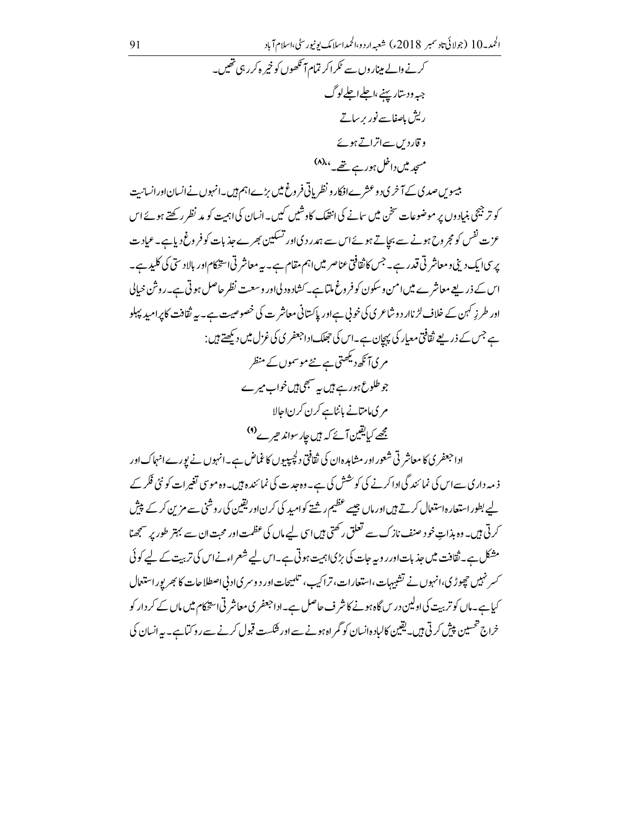کیاہے۔ماں کو تربیت کی اولین درس گاہ ہونے کانثر ف حاصل ہے۔اداجعفر ی معاشر تی استخکام میں ماں کے کر دار کو

خراج تحسین پیش کرتی ہیں۔ یقین کالباد ہانسان کو گمر اہ ہونے سے اور شکست قبول کرنے سے روکتا ہے۔ یہ انسان کی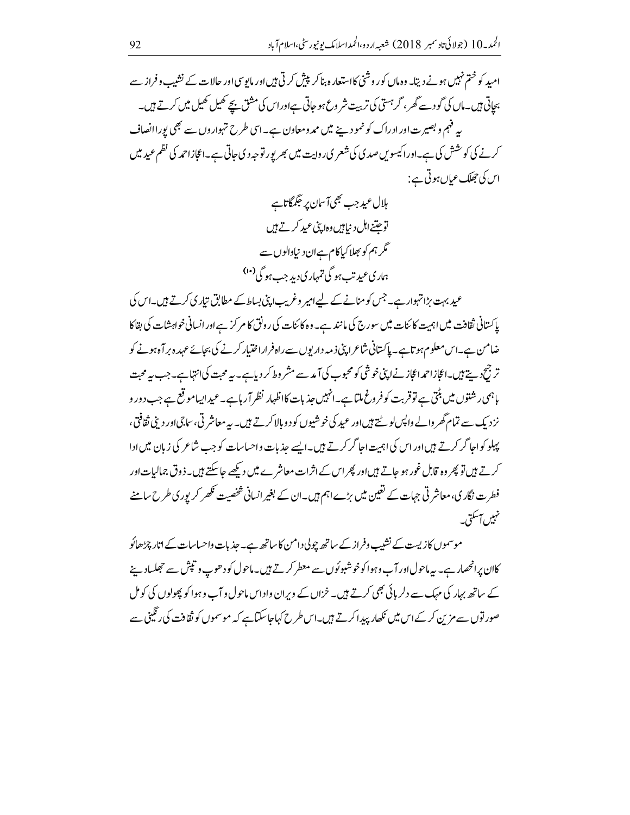امید کو ختم نہیں ہونے دیتا۔ وہ ماں کور وشنی کااستعارہ بناکر پیش کرتی ہیں اور مایوسی اور حالات کے نشیب وفراز سے بجاتی ہیں۔ماں کی گودسے گھر ، گر<sup>ہستی</sup> کی تربیت شر وع ہو جاتی ہےاوراس کی مشق ہ<del>ی</del>ے کھیل کھیل میں کرتے ہیں۔ بہ فہم و بصیرت اور ادراک کو نمو دینے میں ممدومعاون ہے۔اسی طرح تہواروں سے بھی بوراانصاف کرنے کی کوشش کی ہے۔اوراکیسویں صدی کی شعر ی روایت میں بھر پور توجہ دی جاتی ہے۔اعجازاحمہ کی نظم عید میں اس کی جھلک عباں ہوتی ہے :

> ہلال عید جب بھی آسان پر جگمگاناہے توحتنے اہل د نیابیں وہا پنی عبید کرتے ہیں گر ہم کو بھلاکیاکام ہےان د نیادالوں سے ہماری عبدت ہو گی تمہار ی دید جب ہو گی <sup>(۱۰</sup>)

عید بہت بڑا تہوار ہے۔ جس کو منانے کے لیےامیر وغریب اپنی بساط کے مطابق تیار کی کرتے ہیں۔اس کی پاکستانی ثقافت میں اہمیت کا ئنات میں سورج کی مانند ہے۔ وہ کا ئنات کی رونق کا مر کر ہے اور انسانی خواہشات کی بقاکا ضامن ہے۔اس معلوم ہوتاہے۔ پاکستانی شاعرا پپی ذ مہ دار یوں سے راہ فراراختیار کرنے کی بجائے عہد ہ برآہ ہونے کو تر جحوبے ہیں۔اعجازاحمداعجاز نےاپنی خوشی کومحبوب کی آ مدسے مشر وط کر دیاہے۔ یہ محبت کی انتہاہے۔جب یہ محبت ہاہمی رشتوں میں بٹتی ہے توقربت کوفر وغ ملتا ہے۔انہیں جذبات کااظہار نظر آرہاہے۔عید ایسامو قع ہے جب دور و نزدیک سے تمام گھر والے واپس لوٹتے ہیں اور عبید کی خوشیوں کو د وبالا کرتے ہیں۔ یہ معاشر تی، ساجی اور دی ثقافتی، پہلو کواجا گر کرتے ہیں اور اس کی اہمیت اجا گر کرتے ہیں۔ایسے جذبات واحساسات کو جب شاعر کی زبان میں ادا کرتے ہیں تو پھر وہ قابل غور ہو جاتے ہیںاور پھراس کے اثرات معاشر ے میں دیکھے جاسکتے ہیں۔ذوق جمالیات اور فطرت نگار ی، معاشر ٹی جہات کے تعیین میں بڑے اہم ہیں۔ان کے بغیر انسانی شخصیت کھر کر پوری طرح سامنے نہیں ہ<sup>ے</sup> تی۔

موسموں کازیست کے نشیب وفراز کے ساتھ چولی دامن کاساتھ ہے۔حذبات واحساسات کے اتار چڑھائو کان پرانحصار ہے۔ یہ ماحول اور آب وہوا کوخوشبوئوں سے معطر کرتے ہیں۔ماحول کو دھوپ و تیش سے حجلساد پنے کے ساتھ بہار کی مہک سے دلر ہائی بھی کرتے ہیں۔ خزاں کے ویران واداس ماحول و آب وہوا کو پھولوں کی کومل صور توں سے مزین کر کے اس میں نکھار پیدا کرتے ہیں۔اس طرح کہاجاسکتاہے کہ موسموں کو ثقافت کی رنگینی سے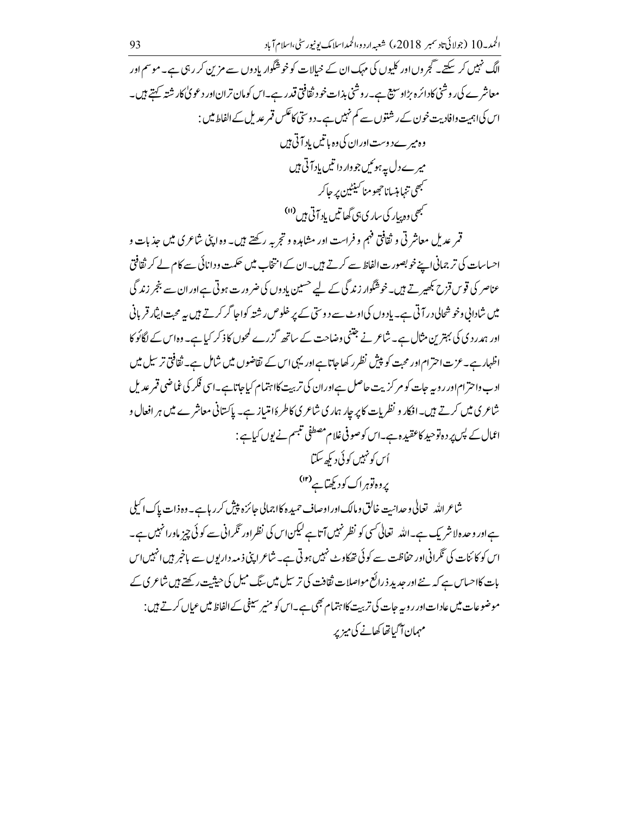الحمد 10 (جولائى تادىمبر 2018ء) شعبه اردو،الحمداسلامك يونيورسٹی،اسلام آباد 93 الگ نہیں کر سکتے۔گجر وں اور کلیوں کی مہک ان کے خیالات کو خوشگوار یاد وں سے مزین کر رہی ہے۔ موسم اور معاشر ے کی روشنی کادائرہ بڑاوسیع ہے۔روشنی بذات خود ثقافتی قدر ہے۔اس کومان تران اور دعو پی کار شتہ کہتے ہیں۔ اس کی اہمیت وافادیت خون کے رشتوں سے کم نہیں ہے۔دوسی کا عکس قمر عدیل کے الفاط میں : وہ میر ےدوست اوران کی وہ یا تیں باد آتی ہیں میر ےدل پہ ہوئیں جو وار دانتیں باد آتی ہیں محمهمي تنها منسانا حجحو منا سينيين بر حاكر ۔<br>مہمی دہ پیار کی ساری ہی گھا تیں باد آتی ہیں <sup>(1)</sup>

قمر عدیل معاشر تی و ثقافتی فہم و فراست اور مشاہدہ و تجربہ رکھتے ہیں۔ وہ اپنی شاعری میں جذبات و احساسات کی تر جمانی اپنے خوبصور ت الفاظ سے کرتے ہیں۔ان کے انتخاب میں حکمت و دانائی سے کام لے کر ثقافتی عناصر کی قوس قزح بکھیر تے ہیں۔خوشگوار زند گی کے لیے <sup>حسی</sup>ین یاد وں کی ضر ور ت ہوتی ہےاور ان سے بنجر زند گی میں شادانی وخو شحالی در آتی ہے۔ باد وں کی اوٹ سے د وستی کے پر خلوص رشتہ کواجا گر کرتے ہیں یہ محبت ایثار قربانی اور ہمدر دی کی بہترین مثال ہے۔ شاعر نے جتنی وضاحت کے ساتھ گزرے کمحوں کاذ کر کیا ہے۔ وہ اس کے لگائو کا اظہار ہے۔عزت احترام اور محبت کو پیشِ نظر رکھاجاتا ہے اور یہی اس کے تقاضوں میں شامل ہے۔ ثقافتی تر سیل میں ادب واحترام اور روپہ جات کو مر کر بیت حاصل ہےاور ان کی تربیت کااہتمام کیا جاتا ہے۔اسی فکر کی غماضی قمر عدیل شاعری میں کرتے ہیں۔افکار و نظریات کا پر جار ہماری شاعری کاطر ۂامتیاز ہے۔ پاکستانی معاشرے میں ہر افعال و اعمال کے پس پر دہ توحید کاعقید ہے۔اس کوصوفی غلام مصطفی تنبیم نے یوں کیاہے : اُس کو نہیں کو ئی دیکھ سکتا بروہ توہراک کودیکھتاہے

شاعر الله \_ تعالى وحدانت خالق ومالك اوراوصاف حميد ه كااجمالي حائزه پيش كرر با ہے۔ وه ذات پاك اكيلي ہےاور وحدہ لاشر یک ہے۔اللہ تعالی کسی کو نظر نہیں آتاہے لیکن اس کی نظر اور تکرانی سے کوئی چیز ماورانہیں ہے۔ اس کو کائنات کی ٹگرانی اور حفاظت سے کوئی تھکاوٹ نہیں ہوتی ہے۔ شاعرا پپی ذیبہ داریوں سے باخبر ہیں انہیں اس بات کااحساس ہے کہ نئے اور جدید ذرائع مواصلات ثقافت کی ترسیل میں سنگ میل کی حیثیت رکھتے ہیں شاعری کے موضوعات میں عادات اور روپہ جات کی تربیت کااہتمام بھی ہے۔اس کو منیر سیفی کے الفاظ میں عیاں کرتے ہیں : مہمان آگیاتھا کھانے کی میزیر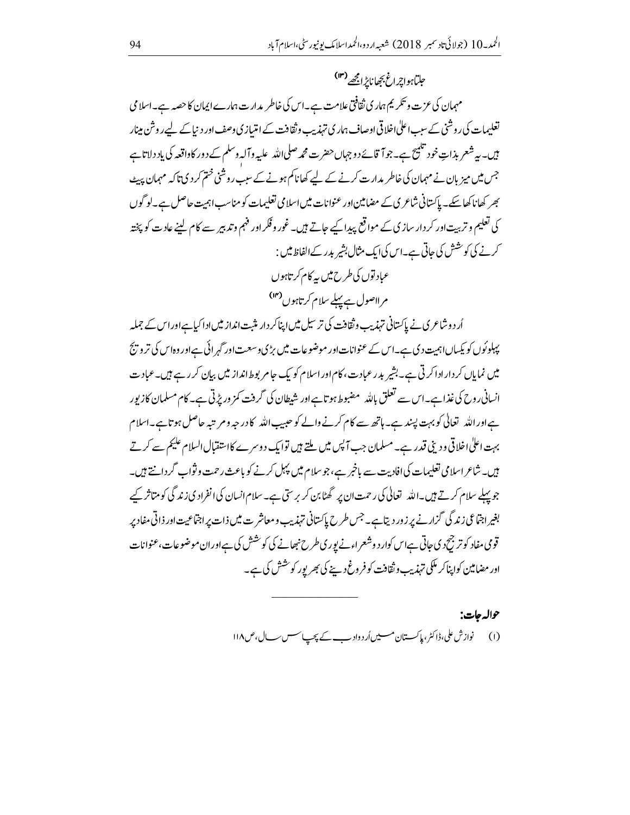حلِباً ہوا پڑ اٹح بِجھانا پڑ امجھے <sup>(۱۳)</sup> مہمان کی عزت و تکریم ہمار کی ثقافتی علامت ہے۔اس کی خاطر بدارت ہمارےا پمان کا حصہ ہے۔اسلامی تعلیمات کی روشنی کے سبب اعلٰی اخلاقی اوصاف ہماری تہذیب وثقافت کے امتیازی وصف اور دیاکے لیے روشن مینار ہیں۔ یہ شعر بذاتِ خود تلمیح ہے۔جوآ قائےدوجہاں حضرت محمہ صلی\للہ علیہ وآلہ وسلم کے د ور کاواقعہ کی یاد دلاتاہے جس میں میز بان نے مہمان کی خاطر مدارت کرنے کے لیے کھاناکم ہونے کے سبب روشنی ختم کر دی تاکہ مہمان پیٹ بھر کھانا کھاسکے۔پاکستانی شاعری کے مضامین اور عنوانات میں اسلامی تعلیمات کو مناسب اہمیت حاصل ہے۔لو گوں کی تعلیم و تربیت اور کر دار سازی کے مواقع پیدا کیے جاتے ہیں۔ غور وفکر اور فہم وتدبیر سے کام لینے عادت کو پختہ کرنے کی کوشش کی جاتی ہے۔اس کی ایک مثال بشیر بدر کے الفاظ میں : عباد توں کی طرح میں یہ کام کر تاہوں مر لاصول ہے پہلے سلام کرتاہوں<sup>(۱۴</sup>)

اُر د وشاعری نے پاکستانی تہذیب و ثقافت کی تر سیل میں اپناکر دار مثبت انداز میں اداکیا ہےاور اس کے جملہ پہلوئوں کو یکساں اہمیت دی ہے۔اس کے عنوانات اور موضوعات میں بڑیو سعت اور گہر ائی ہے اور وہاس کی تر و پج میں نمایاں کر دار ادا کرتی ہے۔بشیر بدر عبادت، کام اور اسلام کو یک جامر بوط انداز میں بیان کر رہے ہیں۔عبادت انسانی روح کی غذاہے۔اس سے تعلق باللہ مضبوط ہو تاہےاور شیطان کی گرفت کمز وریڑتی ہے۔کام مسلمان کا زیور ہےاور اللہ تعالٰی کو بہت پسند ہے۔ ہاتھ سے کام کرنے والے کو حبیب اللہ کا درجہ و مر تبہ حاصل ہوتا ہے۔اسلام بہت اعلٰی اخلاقی و دینی قدر ہے۔ مسلمان جب آ پس میں ملتے ہیں توایک دوسرے کااستقبال السلام علیم سے کرتے ہیں۔ شاعر اسلامی تعلیمات کیاافادیت سے باخبر ہے، جو سلام میں پہل کرنے کو باعث رحمت وثواب گردانتے ہیں۔ جو پہلے سلام کرتے ہیں۔اللہ تعالٰی کی رحمت ان پر گھٹابن کر بر سیّ ہے۔ سلام انسان کی انفراد کی زند گی کو متاثر کیے بغیر اجتماعی زندگی گزار نے پر زور دیتاہے۔ جس طرح پاکستانی تہذیب ومعاشر ت میں ذات پر اجتماعیت اور ذاتی مفاد پر قومی مفاد کو تر جیح دی جاتی ہےاس کوار د وشعر اءنے یوری طرح نبھانے کی کوشش کی ہےاوران موضوعات، عنوانات اور مضامین کواپناکر مککی تہذیب وثقافت کوفر وغ دینے کی بھر پور کو خشش کی ہے۔

> حواله جات: (۱) نوازش علی،ڈاکٹر،پاکستان مسیں اُردواد بے کے پجپ سسس سال،ص۱۱۸